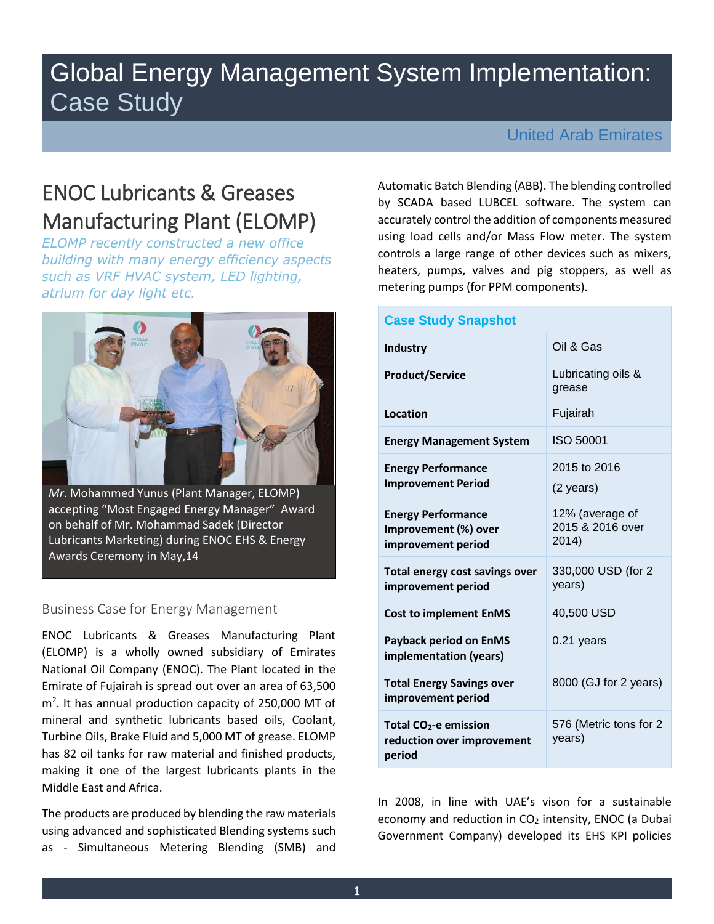# Global Energy Management System Implementation: Case Study

## United Arab Emirates

## ENOC Lubricants & Greases Manufacturing Plant (ELOMP)

*ELOMP recently constructed a new office building with many energy efficiency aspects such as VRF HVAC system, LED lighting, atrium for day light etc.*



*Mr*. Mohammed Yunus (Plant Manager, ELOMP) accepting "Most Engaged Energy Manager" Award on behalf of Mr. Mohammad Sadek (Director Lubricants Marketing) during ENOC EHS & Energy Awards Ceremony in May,14

## Business Case for Energy Management

ENOC Lubricants & Greases Manufacturing Plant (ELOMP) is a wholly owned subsidiary of Emirates National Oil Company (ENOC). The Plant located in the Emirate of Fujairah is spread out over an area of 63,500 m<sup>2</sup>. It has annual production capacity of 250,000 MT of mineral and synthetic lubricants based oils, Coolant, Turbine Oils, Brake Fluid and 5,000 MT of grease. ELOMP has 82 oil tanks for raw material and finished products, making it one of the largest lubricants plants in the Middle East and Africa.

The products are produced by blending the raw materials using advanced and sophisticated Blending systems such as - Simultaneous Metering Blending (SMB) and Automatic Batch Blending (ABB). The blending controlled by SCADA based LUBCEL software. The system can accurately control the addition of components measured using load cells and/or Mass Flow meter. The system controls a large range of other devices such as mixers, heaters, pumps, valves and pig stoppers, as well as metering pumps (for PPM components).

#### **Case Study Snapshot Industry Oil & Gas Product/Service** Lubricating oils & grease **Location Fujairah Energy Management System** ISO 50001 **Energy Performance Improvement Period**  2015 to 2016 (2 years) **Energy Performance Improvement (%) over improvement period** 12% (average of 2015 & 2016 over 2014) **Total energy cost savings over improvement period** 330,000 USD (for 2 years) **Cost to implement EnMS** 40,500 USD **Payback period on EnMS implementation (years)** 0.21 years **Total Energy Savings over improvement period**  8000 (GJ for 2 years) **Total CO2-e emission reduction over improvement period** 576 (Metric tons for 2 years)

In 2008, in line with UAE's vison for a sustainable economy and reduction in  $CO<sub>2</sub>$  intensity, ENOC (a Dubai Government Company) developed its EHS KPI policies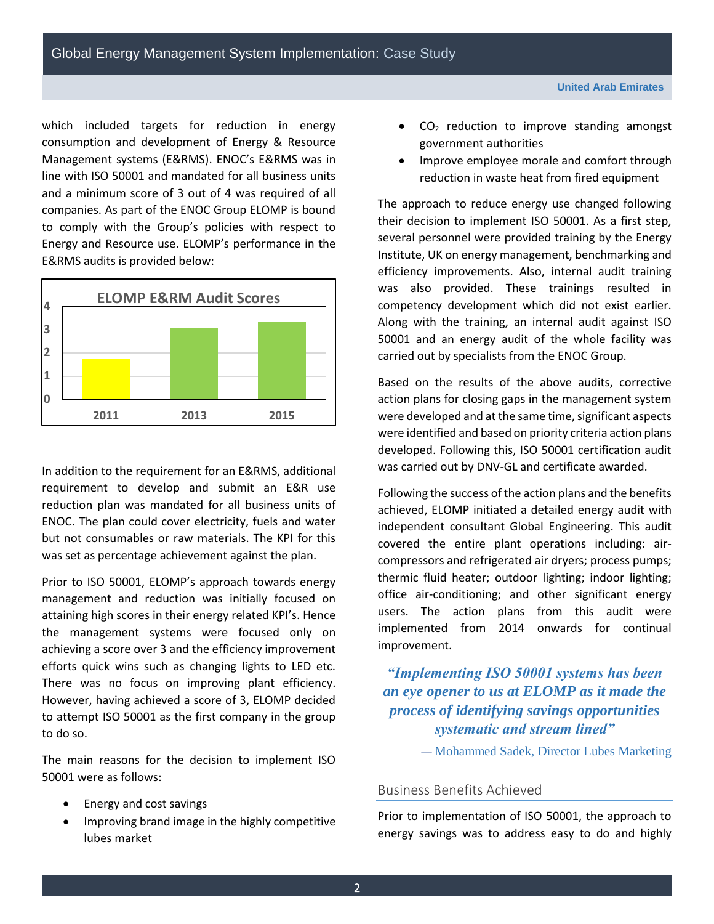which included targets for reduction in energy consumption and development of Energy & Resource Management systems (E&RMS). ENOC's E&RMS was in line with ISO 50001 and mandated for all business units and a minimum score of 3 out of 4 was required of all companies. As part of the ENOC Group ELOMP is bound to comply with the Group's policies with respect to Energy and Resource use. ELOMP's performance in the E&RMS audits is provided below:



In addition to the requirement for an E&RMS, additional requirement to develop and submit an E&R use reduction plan was mandated for all business units of ENOC. The plan could cover electricity, fuels and water but not consumables or raw materials. The KPI for this was set as percentage achievement against the plan.

Prior to ISO 50001, ELOMP's approach towards energy management and reduction was initially focused on attaining high scores in their energy related KPI's. Hence the management systems were focused only on achieving a score over 3 and the efficiency improvement efforts quick wins such as changing lights to LED etc. There was no focus on improving plant efficiency. However, having achieved a score of 3, ELOMP decided to attempt ISO 50001 as the first company in the group to do so.

The main reasons for the decision to implement ISO 50001 were as follows:

- Energy and cost savings
- Improving brand image in the highly competitive lubes market
- $\bullet$  CO<sub>2</sub> reduction to improve standing amongst government authorities
- Improve employee morale and comfort through reduction in waste heat from fired equipment

The approach to reduce energy use changed following their decision to implement ISO 50001. As a first step, several personnel were provided training by the Energy Institute, UK on energy management, benchmarking and efficiency improvements. Also, internal audit training was also provided. These trainings resulted in competency development which did not exist earlier. Along with the training, an internal audit against ISO 50001 and an energy audit of the whole facility was carried out by specialists from the ENOC Group.

Based on the results of the above audits, corrective action plans for closing gaps in the management system were developed and at the same time, significant aspects were identified and based on priority criteria action plans developed. Following this, ISO 50001 certification audit was carried out by DNV-GL and certificate awarded.

Following the success of the action plans and the benefits achieved, ELOMP initiated a detailed energy audit with independent consultant Global Engineering. This audit covered the entire plant operations including: aircompressors and refrigerated air dryers; process pumps; thermic fluid heater; outdoor lighting; indoor lighting; office air-conditioning; and other significant energy users. The action plans from this audit were implemented from 2014 onwards for continual improvement.

*"Implementing ISO 50001 systems has been an eye opener to us at ELOMP as it made the process of identifying savings opportunities systematic and stream lined"*

— Mohammed Sadek, Director Lubes Marketing

## Business Benefits Achieved

Prior to implementation of ISO 50001, the approach to energy savings was to address easy to do and highly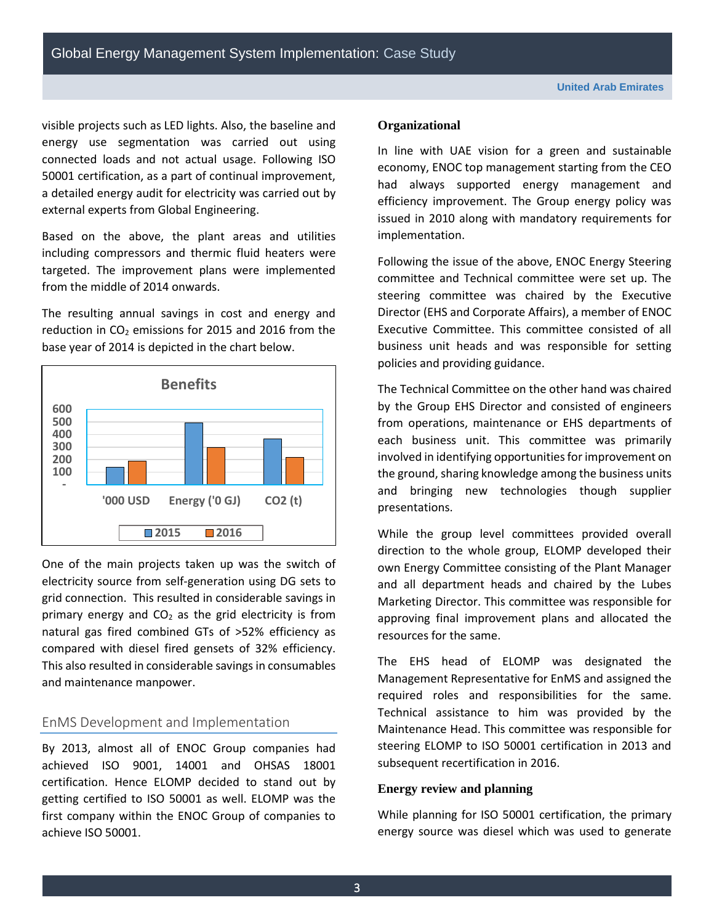visible projects such as LED lights. Also, the baseline and energy use segmentation was carried out using connected loads and not actual usage. Following ISO 50001 certification, as a part of continual improvement, a detailed energy audit for electricity was carried out by external experts from Global Engineering.

Based on the above, the plant areas and utilities including compressors and thermic fluid heaters were targeted. The improvement plans were implemented from the middle of 2014 onwards.

The resulting annual savings in cost and energy and reduction in  $CO<sub>2</sub>$  emissions for 2015 and 2016 from the base year of 2014 is depicted in the chart below.



One of the main projects taken up was the switch of electricity source from self-generation using DG sets to grid connection. This resulted in considerable savings in primary energy and  $CO<sub>2</sub>$  as the grid electricity is from natural gas fired combined GTs of >52% efficiency as compared with diesel fired gensets of 32% efficiency. This also resulted in considerable savings in consumables and maintenance manpower.

## EnMS Development and Implementation

By 2013, almost all of ENOC Group companies had achieved ISO 9001, 14001 and OHSAS 18001 certification. Hence ELOMP decided to stand out by getting certified to ISO 50001 as well. ELOMP was the first company within the ENOC Group of companies to achieve ISO 50001.

#### **Organizational**

In line with UAE vision for a green and sustainable economy, ENOC top management starting from the CEO had always supported energy management and efficiency improvement. The Group energy policy was issued in 2010 along with mandatory requirements for implementation.

Following the issue of the above, ENOC Energy Steering committee and Technical committee were set up. The steering committee was chaired by the Executive Director (EHS and Corporate Affairs), a member of ENOC Executive Committee. This committee consisted of all business unit heads and was responsible for setting policies and providing guidance.

The Technical Committee on the other hand was chaired by the Group EHS Director and consisted of engineers from operations, maintenance or EHS departments of each business unit. This committee was primarily involved in identifying opportunities for improvement on the ground, sharing knowledge among the business units and bringing new technologies though supplier presentations.

While the group level committees provided overall direction to the whole group, ELOMP developed their own Energy Committee consisting of the Plant Manager and all department heads and chaired by the Lubes Marketing Director. This committee was responsible for approving final improvement plans and allocated the resources for the same.

The EHS head of ELOMP was designated the Management Representative for EnMS and assigned the required roles and responsibilities for the same. Technical assistance to him was provided by the Maintenance Head. This committee was responsible for steering ELOMP to ISO 50001 certification in 2013 and subsequent recertification in 2016.

#### **Energy review and planning**

While planning for ISO 50001 certification, the primary energy source was diesel which was used to generate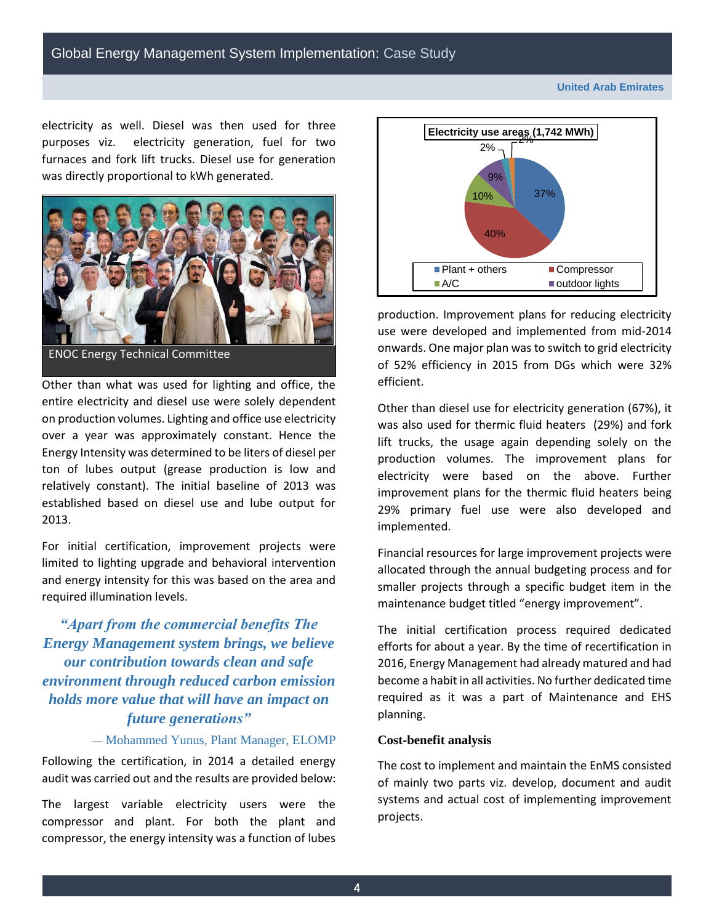**United Arab Emirates**

electricity as well. Diesel was then used for three purposes viz. electricity generation, fuel for two furnaces and fork lift trucks. Diesel use for generation was directly proportional to kWh generated.



ENOC Energy Technical Committee

Other than what was used for lighting and office, the entire electricity and diesel use were solely dependent on production volumes. Lighting and office use electricity over a year was approximately constant. Hence the Energy Intensity was determined to be liters of diesel per ton of lubes output (grease production is low and relatively constant). The initial baseline of 2013 was established based on diesel use and lube output for 2013.

For initial certification, improvement projects were limited to lighting upgrade and behavioral intervention and energy intensity for this was based on the area and required illumination levels.

*"Apart from the commercial benefits The Energy Management system brings, we believe our contribution towards clean and safe environment through reduced carbon emission holds more value that will have an impact on future generations"*

#### — Mohammed Yunus, Plant Manager, ELOMP

Following the certification, in 2014 a detailed energy audit was carried out and the results are provided below:

The largest variable electricity users were the compressor and plant. For both the plant and compressor, the energy intensity was a function of lubes



production. Improvement plans for reducing electricity use were developed and implemented from mid-2014 onwards. One major plan was to switch to grid electricity of 52% efficiency in 2015 from DGs which were 32% efficient.

Other than diesel use for electricity generation (67%), it was also used for thermic fluid heaters (29%) and fork lift trucks, the usage again depending solely on the production volumes. The improvement plans for electricity were based on the above. Further improvement plans for the thermic fluid heaters being 29% primary fuel use were also developed and implemented.

Financial resources for large improvement projects were allocated through the annual budgeting process and for smaller projects through a specific budget item in the maintenance budget titled "energy improvement".

The initial certification process required dedicated efforts for about a year. By the time of recertification in 2016, Energy Management had already matured and had become a habit in all activities. No further dedicated time required as it was a part of Maintenance and EHS planning.

#### **Cost-benefit analysis**

The cost to implement and maintain the EnMS consisted of mainly two parts viz. develop, document and audit systems and actual cost of implementing improvement projects.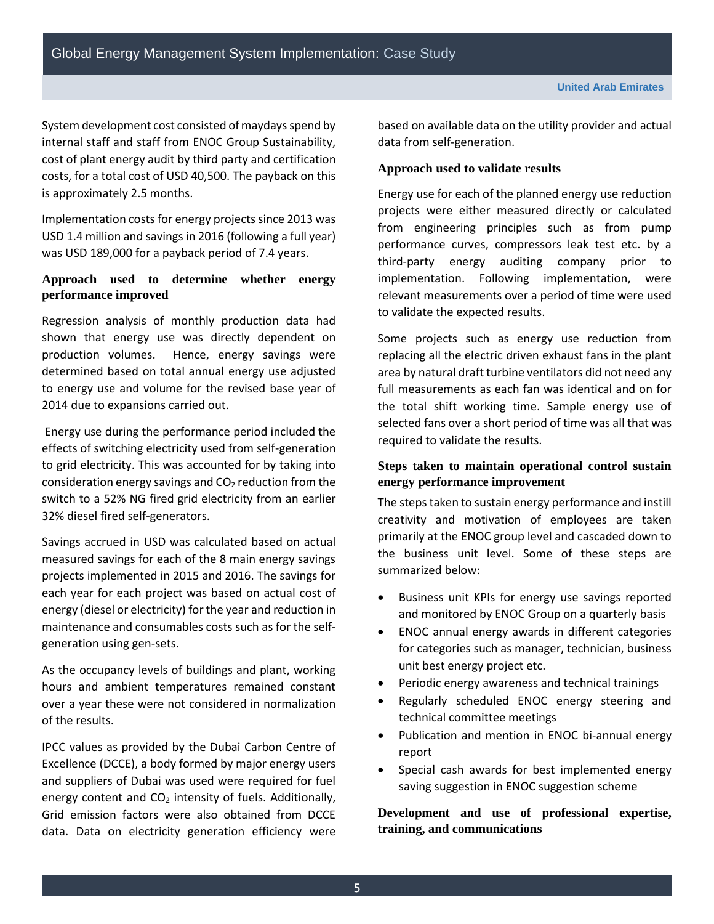System development cost consisted of maydays spend by internal staff and staff from ENOC Group Sustainability, cost of plant energy audit by third party and certification costs, for a total cost of USD 40,500. The payback on this is approximately 2.5 months.

Implementation costs for energy projects since 2013 was USD 1.4 million and savings in 2016 (following a full year) was USD 189,000 for a payback period of 7.4 years.

## **Approach used to determine whether energy performance improved**

Regression analysis of monthly production data had shown that energy use was directly dependent on production volumes. Hence, energy savings were determined based on total annual energy use adjusted to energy use and volume for the revised base year of 2014 due to expansions carried out.

Energy use during the performance period included the effects of switching electricity used from self-generation to grid electricity. This was accounted for by taking into consideration energy savings and  $CO<sub>2</sub>$  reduction from the switch to a 52% NG fired grid electricity from an earlier 32% diesel fired self-generators.

Savings accrued in USD was calculated based on actual measured savings for each of the 8 main energy savings projects implemented in 2015 and 2016. The savings for each year for each project was based on actual cost of energy (diesel or electricity) for the year and reduction in maintenance and consumables costs such as for the selfgeneration using gen-sets.

As the occupancy levels of buildings and plant, working hours and ambient temperatures remained constant over a year these were not considered in normalization of the results.

IPCC values as provided by the Dubai Carbon Centre of Excellence (DCCE), a body formed by major energy users and suppliers of Dubai was used were required for fuel energy content and  $CO<sub>2</sub>$  intensity of fuels. Additionally, Grid emission factors were also obtained from DCCE data. Data on electricity generation efficiency were

based on available data on the utility provider and actual data from self-generation.

#### **Approach used to validate results**

Energy use for each of the planned energy use reduction projects were either measured directly or calculated from engineering principles such as from pump performance curves, compressors leak test etc. by a third-party energy auditing company prior to implementation. Following implementation, were relevant measurements over a period of time were used to validate the expected results.

Some projects such as energy use reduction from replacing all the electric driven exhaust fans in the plant area by natural draft turbine ventilators did not need any full measurements as each fan was identical and on for the total shift working time. Sample energy use of selected fans over a short period of time was all that was required to validate the results.

## **Steps taken to maintain operational control sustain energy performance improvement**

The steps taken to sustain energy performance and instill creativity and motivation of employees are taken primarily at the ENOC group level and cascaded down to the business unit level. Some of these steps are summarized below:

- Business unit KPIs for energy use savings reported and monitored by ENOC Group on a quarterly basis
- ENOC annual energy awards in different categories for categories such as manager, technician, business unit best energy project etc.
- Periodic energy awareness and technical trainings
- Regularly scheduled ENOC energy steering and technical committee meetings
- Publication and mention in ENOC bi-annual energy report
- Special cash awards for best implemented energy saving suggestion in ENOC suggestion scheme

**Development and use of professional expertise, training, and communications**